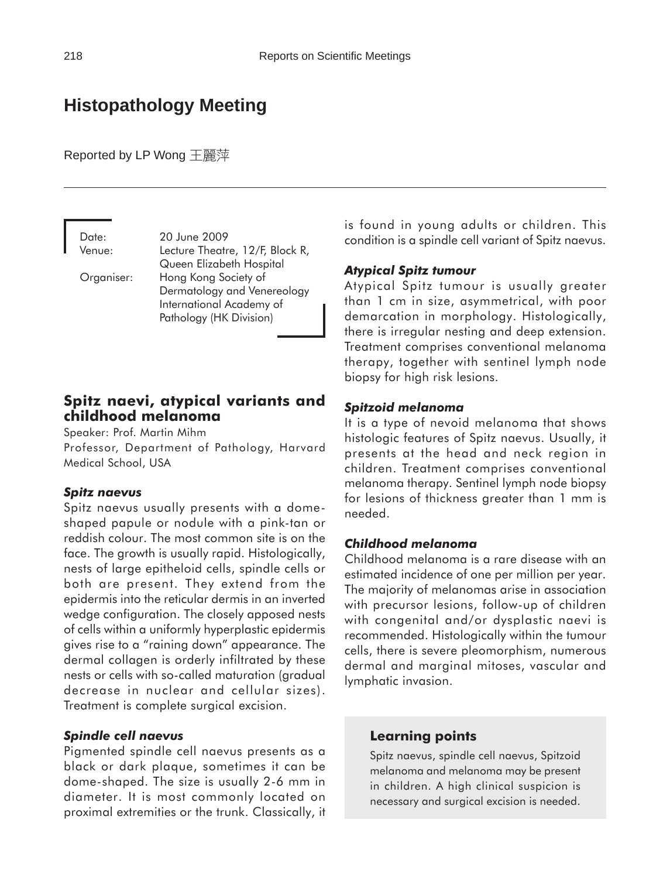# **Histopathology Meeting**

Reported by LP Wong 王麗萍

Date: 20 June 2009 Venue: Lecture Theatre, 12/F, Block R, Queen Elizabeth Hospital Organiser: Hong Kong Society of Dermatology and Venereology International Academy of

Pathology (HK Division)

#### **Spitz naevi, atypical variants and childhood melanoma**

Speaker: Prof. Martin Mihm

Professor, Department of Pathology, Harvard Medical School, USA

#### *Spitz naevus*

Spitz naevus usually presents with a domeshaped papule or nodule with a pink-tan or reddish colour. The most common site is on the face. The growth is usually rapid. Histologically, nests of large epitheloid cells, spindle cells or both are present. They extend from the epidermis into the reticular dermis in an inverted wedge configuration. The closely apposed nests of cells within a uniformly hyperplastic epidermis gives rise to a "raining down" appearance. The dermal collagen is orderly infiltrated by these nests or cells with so-called maturation (gradual decrease in nuclear and cellular sizes). Treatment is complete surgical excision.

#### *Spindle cell naevus*

Pigmented spindle cell naevus presents as a black or dark plaque, sometimes it can be dome-shaped. The size is usually 2-6 mm in diameter. It is most commonly located on proximal extremities or the trunk. Classically, it is found in young adults or children. This condition is a spindle cell variant of Spitz naevus.

#### *Atypical Spitz tumour*

Atypical Spitz tumour is usually greater than 1 cm in size, asymmetrical, with poor demarcation in morphology. Histologically, there is irregular nesting and deep extension. Treatment comprises conventional melanoma therapy, together with sentinel lymph node biopsy for high risk lesions.

#### *Spitzoid melanoma*

It is a type of nevoid melanoma that shows histologic features of Spitz naevus. Usually, it presents at the head and neck region in children. Treatment comprises conventional melanoma therapy. Sentinel lymph node biopsy for lesions of thickness greater than 1 mm is needed.

#### *Childhood melanoma*

Childhood melanoma is a rare disease with an estimated incidence of one per million per year. The majority of melanomas arise in association with precursor lesions, follow-up of children with congenital and/or dysplastic naevi is recommended. Histologically within the tumour cells, there is severe pleomorphism, numerous dermal and marginal mitoses, vascular and lymphatic invasion.

#### **Learning points**

Spitz naevus, spindle cell naevus, Spitzoid melanoma and melanoma may be present in children. A high clinical suspicion is necessary and surgical excision is needed.